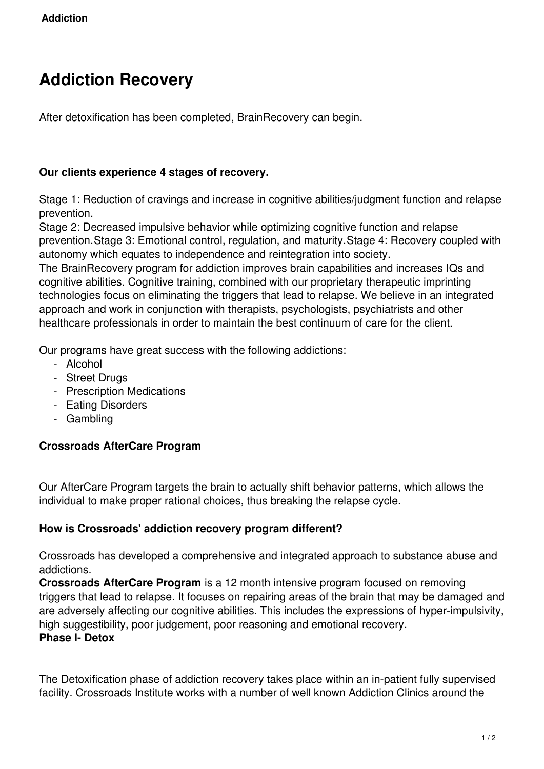# **Addiction Recovery**

After detoxification has been completed, BrainRecovery can begin.

#### **Our clients experience 4 stages of recovery.**

Stage 1: Reduction of cravings and increase in cognitive abilities/judgment function and relapse prevention.

Stage 2: Decreased impulsive behavior while optimizing cognitive function and relapse prevention.Stage 3: Emotional control, regulation, and maturity.Stage 4: Recovery coupled with autonomy which equates to independence and reintegration into society.

The BrainRecovery program for addiction improves brain capabilities and increases IQs and cognitive abilities. Cognitive training, combined with our proprietary therapeutic imprinting technologies focus on eliminating the triggers that lead to relapse. We believe in an integrated approach and work in conjunction with therapists, psychologists, psychiatrists and other healthcare professionals in order to maintain the best continuum of care for the client.

Our programs have great success with the following addictions:

- Alcohol
- Street Drugs
- Prescription Medications
- Eating Disorders
- Gambling

## **Crossroads AfterCare Program**

Our AfterCare Program targets the brain to actually shift behavior patterns, which allows the individual to make proper rational choices, thus breaking the relapse cycle.

#### **How is Crossroads' addiction recovery program different?**

Crossroads has developed a comprehensive and integrated approach to substance abuse and addictions.

**Crossroads AfterCare Program** is a 12 month intensive program focused on removing triggers that lead to relapse. It focuses on repairing areas of the brain that may be damaged and are adversely affecting our cognitive abilities. This includes the expressions of hyper-impulsivity, high suggestibility, poor judgement, poor reasoning and emotional recovery.

## **Phase I- Detox**

The Detoxification phase of addiction recovery takes place within an in-patient fully supervised facility. Crossroads Institute works with a number of well known Addiction Clinics around the